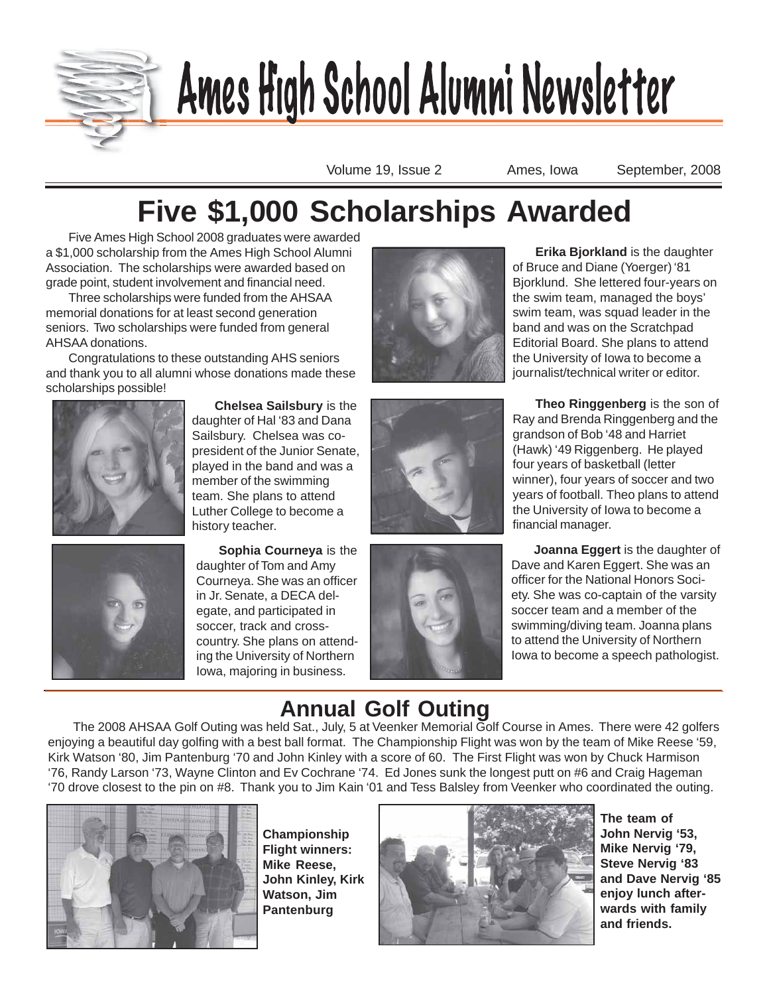

# Ames Kul Ashaal Almond Handlebberg AUNT HY HALL AND HALL AND HALL AND HALL AND HALL AND HALL AND HALL AND HALL AND HALL AND HALL AND HALL AND HALL AND HALL AND HALL AND HALL AND HALL AND HALL AND HALL AND HALL AND HALL AND HALL AND HALL AND HALL AND HALL AN

Volume 19, Issue 2 Ames, Iowa September, 2008

# **Five \$1,000 Scholarships Awarded**

Five Ames High School 2008 graduates were awarded a \$1,000 scholarship from the Ames High School Alumni Association. The scholarships were awarded based on grade point, student involvement and financial need.

Three scholarships were funded from the AHSAA memorial donations for at least second generation seniors. Two scholarships were funded from general AHSAA donations.

Congratulations to these outstanding AHS seniors and thank you to all alumni whose donations made these scholarships possible!



**Chelsea Sailsbury** is the daughter of Hal '83 and Dana Sailsbury. Chelsea was copresident of the Junior Senate, played in the band and was a member of the swimming team. She plans to attend Luther College to become a history teacher.



**Sophia Courneya** is the daughter of Tom and Amy Courneya. She was an officer in Jr. Senate, a DECA delegate, and participated in soccer, track and crosscountry. She plans on attending the University of Northern Iowa, majoring in business.







the University of Iowa to become a

financial manager.

**Erika Bjorkland** is the daughter

of Bruce and Diane (Yoerger) '81 Bjorklund. She lettered four-years on the swim team, managed the boys' swim team, was squad leader in the band and was on the Scratchpad Editorial Board. She plans to attend

**Joanna Eggert** is the daughter of Dave and Karen Eggert. She was an officer for the National Honors Society. She was co-captain of the varsity soccer team and a member of the swimming/diving team. Joanna plans to attend the University of Northern Iowa to become a speech pathologist.

# **Annual Golf Outing**

 The 2008 AHSAA Golf Outing was held Sat., July, 5 at Veenker Memorial Golf Course in Ames. There were 42 golfers enjoying a beautiful day golfing with a best ball format. The Championship Flight was won by the team of Mike Reese '59, Kirk Watson '80, Jim Pantenburg '70 and John Kinley with a score of 60. The First Flight was won by Chuck Harmison '76, Randy Larson '73, Wayne Clinton and Ev Cochrane '74. Ed Jones sunk the longest putt on #6 and Craig Hageman '70 drove closest to the pin on #8. Thank you to Jim Kain '01 and Tess Balsley from Veenker who coordinated the outing.



**Championship Flight winners: Mike Reese, John Kinley, Kirk Watson, Jim Pantenburg**



**The team of John Nervig '53, Mike Nervig '79, Steve Nervig '83 and Dave Nervig '85 enjoy lunch afterwards with family and friends.**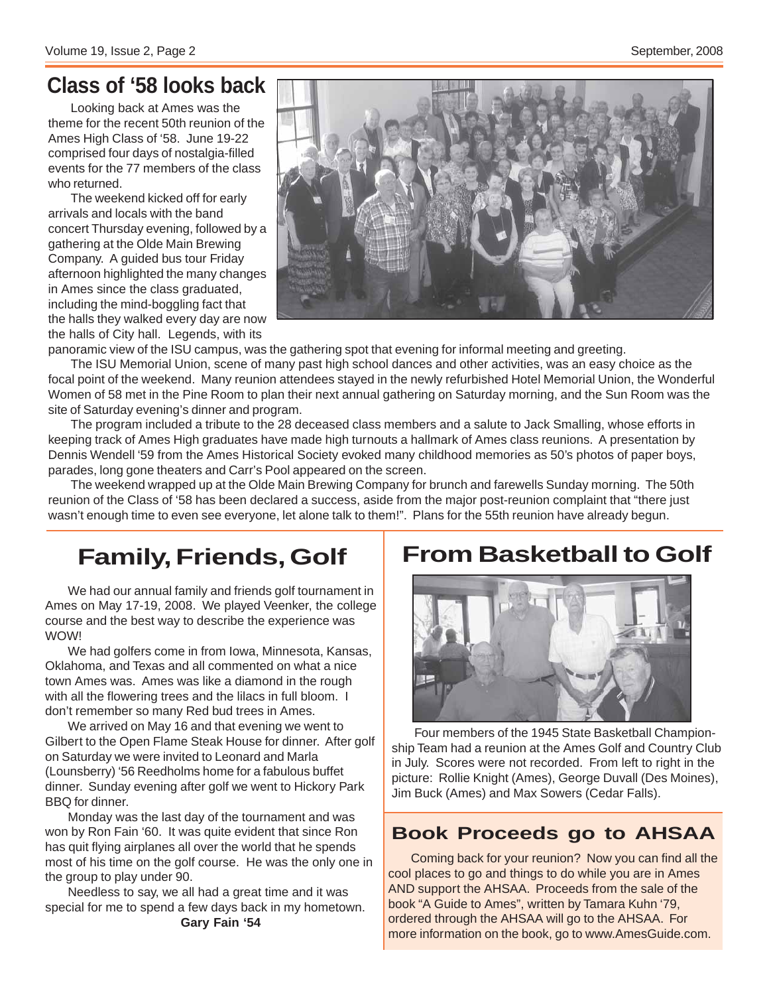### **Class of '58 looks back**

Looking back at Ames was the theme for the recent 50th reunion of the Ames High Class of '58. June 19-22 comprised four days of nostalgia-filled events for the 77 members of the class who returned.

The weekend kicked off for early arrivals and locals with the band concert Thursday evening, followed by a gathering at the Olde Main Brewing Company. A guided bus tour Friday afternoon highlighted the many changes in Ames since the class graduated, including the mind-boggling fact that the halls they walked every day are now the halls of City hall. Legends, with its



panoramic view of the ISU campus, was the gathering spot that evening for informal meeting and greeting.

The ISU Memorial Union, scene of many past high school dances and other activities, was an easy choice as the focal point of the weekend. Many reunion attendees stayed in the newly refurbished Hotel Memorial Union, the Wonderful Women of 58 met in the Pine Room to plan their next annual gathering on Saturday morning, and the Sun Room was the site of Saturday evening's dinner and program.

The program included a tribute to the 28 deceased class members and a salute to Jack Smalling, whose efforts in keeping track of Ames High graduates have made high turnouts a hallmark of Ames class reunions. A presentation by Dennis Wendell '59 from the Ames Historical Society evoked many childhood memories as 50's photos of paper boys, parades, long gone theaters and Carr's Pool appeared on the screen.

The weekend wrapped up at the Olde Main Brewing Company for brunch and farewells Sunday morning. The 50th reunion of the Class of '58 has been declared a success, aside from the major post-reunion complaint that "there just wasn't enough time to even see everyone, let alone talk to them!". Plans for the 55th reunion have already begun.

# **Family, Friends, Golf**

We had our annual family and friends golf tournament in Ames on May 17-19, 2008. We played Veenker, the college course and the best way to describe the experience was WOW!

We had golfers come in from Iowa, Minnesota, Kansas, Oklahoma, and Texas and all commented on what a nice town Ames was. Ames was like a diamond in the rough with all the flowering trees and the lilacs in full bloom. I don't remember so many Red bud trees in Ames.

We arrived on May 16 and that evening we went to Gilbert to the Open Flame Steak House for dinner. After golf on Saturday we were invited to Leonard and Marla (Lounsberry) '56 Reedholms home for a fabulous buffet dinner. Sunday evening after golf we went to Hickory Park BBQ for dinner.

Monday was the last day of the tournament and was won by Ron Fain '60. It was quite evident that since Ron has quit flying airplanes all over the world that he spends most of his time on the golf course. He was the only one in the group to play under 90.

Needless to say, we all had a great time and it was special for me to spend a few days back in my hometown. **Gary Fain '54**

# **From Basketball to Golf**



Four members of the 1945 State Basketball Championship Team had a reunion at the Ames Golf and Country Club in July. Scores were not recorded. From left to right in the picture: Rollie Knight (Ames), George Duvall (Des Moines), Jim Buck (Ames) and Max Sowers (Cedar Falls).

### **Book Proceeds go to AHSAA**

Coming back for your reunion? Now you can find all the cool places to go and things to do while you are in Ames AND support the AHSAA. Proceeds from the sale of the book "A Guide to Ames", written by Tamara Kuhn '79, ordered through the AHSAA will go to the AHSAA. For more information on the book, go to www.AmesGuide.com.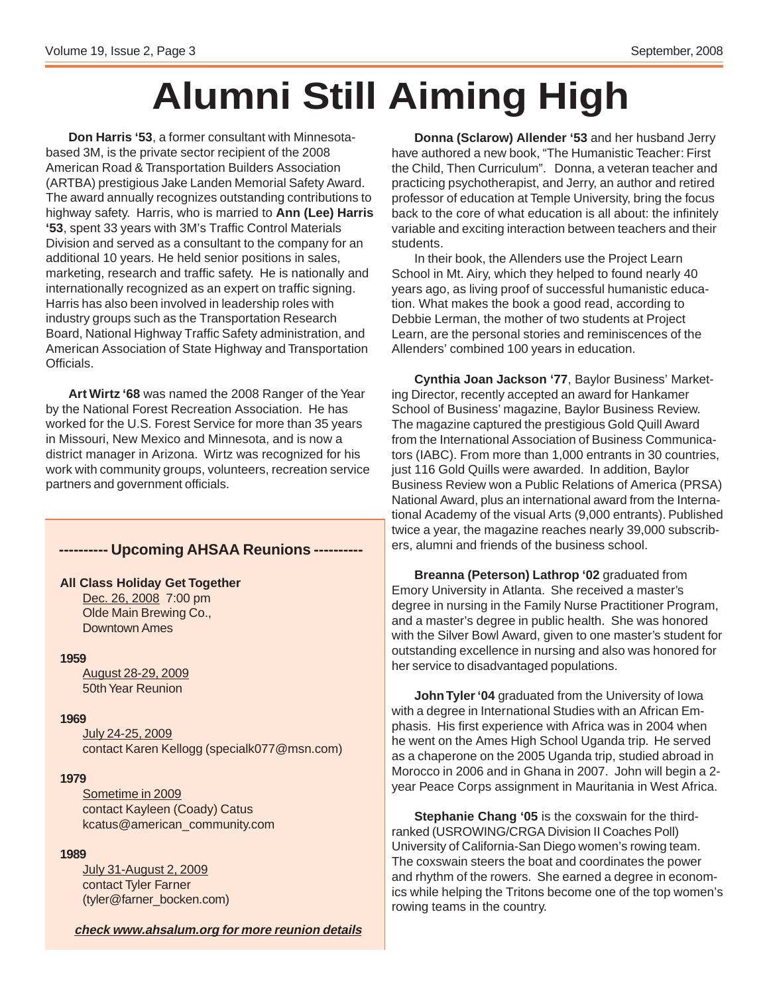# **Alumni Still Aiming High**

**Don Harris '53**, a former consultant with Minnesotabased 3M, is the private sector recipient of the 2008 American Road & Transportation Builders Association (ARTBA) prestigious Jake Landen Memorial Safety Award. The award annually recognizes outstanding contributions to highway safety. Harris, who is married to **Ann (Lee) Harris '53**, spent 33 years with 3M's Traffic Control Materials Division and served as a consultant to the company for an additional 10 years. He held senior positions in sales, marketing, research and traffic safety. He is nationally and internationally recognized as an expert on traffic signing. Harris has also been involved in leadership roles with industry groups such as the Transportation Research Board, National Highway Traffic Safety administration, and American Association of State Highway and Transportation Officials.

**Art Wirtz '68** was named the 2008 Ranger of the Year by the National Forest Recreation Association. He has worked for the U.S. Forest Service for more than 35 years in Missouri, New Mexico and Minnesota, and is now a district manager in Arizona. Wirtz was recognized for his work with community groups, volunteers, recreation service partners and government officials.

### **---------- Upcoming AHSAA Reunions ----------**

#### **All Class Holiday Get Together**

Dec. 26, 2008 7:00 pm Olde Main Brewing Co., Downtown Ames

#### **1959**

August 28-29, 2009 50th Year Reunion

#### **1969**

July 24-25, 2009 contact Karen Kellogg (specialk077@msn.com)

#### **1979**

Sometime in 2009 contact Kayleen (Coady) Catus kcatus@american\_community.com

#### **1989**

July 31-August 2, 2009 contact Tyler Farner (tyler@farner\_bocken.com)

**check www.ahsalum.org for more reunion details**

**Donna (Sclarow) Allender '53** and her husband Jerry have authored a new book, "The Humanistic Teacher: First the Child, Then Curriculum". Donna, a veteran teacher and practicing psychotherapist, and Jerry, an author and retired professor of education at Temple University, bring the focus back to the core of what education is all about: the infinitely variable and exciting interaction between teachers and their students.

In their book, the Allenders use the Project Learn School in Mt. Airy, which they helped to found nearly 40 years ago, as living proof of successful humanistic education. What makes the book a good read, according to Debbie Lerman, the mother of two students at Project Learn, are the personal stories and reminiscences of the Allenders' combined 100 years in education.

**Cynthia Joan Jackson '77**, Baylor Business' Marketing Director, recently accepted an award for Hankamer School of Business' magazine, Baylor Business Review. The magazine captured the prestigious Gold Quill Award from the International Association of Business Communicators (IABC). From more than 1,000 entrants in 30 countries, just 116 Gold Quills were awarded. In addition, Baylor Business Review won a Public Relations of America (PRSA) National Award, plus an international award from the International Academy of the visual Arts (9,000 entrants). Published twice a year, the magazine reaches nearly 39,000 subscribers, alumni and friends of the business school.

**Breanna (Peterson) Lathrop '02** graduated from Emory University in Atlanta. She received a master's degree in nursing in the Family Nurse Practitioner Program, and a master's degree in public health. She was honored with the Silver Bowl Award, given to one master's student for outstanding excellence in nursing and also was honored for her service to disadvantaged populations.

**John Tyler '04** graduated from the University of Iowa with a degree in International Studies with an African Emphasis. His first experience with Africa was in 2004 when he went on the Ames High School Uganda trip. He served as a chaperone on the 2005 Uganda trip, studied abroad in Morocco in 2006 and in Ghana in 2007. John will begin a 2 year Peace Corps assignment in Mauritania in West Africa.

**Stephanie Chang '05** is the coxswain for the thirdranked (USROWING/CRGA Division II Coaches Poll) University of California-San Diego women's rowing team. The coxswain steers the boat and coordinates the power and rhythm of the rowers. She earned a degree in economics while helping the Tritons become one of the top women's rowing teams in the country.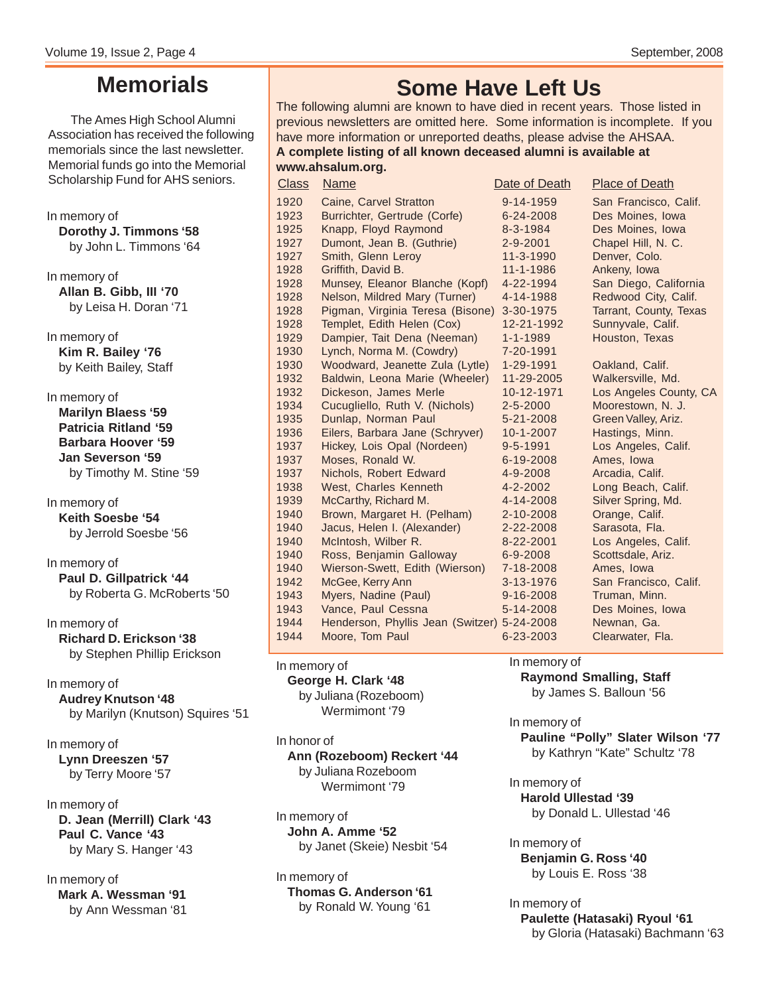# **Memorials**

The Ames High School Alumni Association has received the following memorials since the last newsletter. Memorial funds go into the Memorial Scholarship Fund for AHS seniors.

In memory of **Dorothy J. Timmons '58** by John L. Timmons '64

In memory of **Allan B. Gibb, III '70** by Leisa H. Doran '71

In memory of **Kim R. Bailey '76** by Keith Bailey, Staff

In memory of **Marilyn Blaess '59 Patricia Ritland '59 Barbara Hoover '59 Jan Severson '59** by Timothy M. Stine '59

In memory of **Keith Soesbe '54** by Jerrold Soesbe '56

In memory of **Paul D. Gillpatrick '44** by Roberta G. McRoberts '50

In memory of **Richard D. Erickson '38** by Stephen Phillip Erickson

In memory of **Audrey Knutson '48** by Marilyn (Knutson) Squires '51

In memory of **Lynn Dreeszen '57** by Terry Moore '57

In memory of **D. Jean (Merrill) Clark '43 Paul C. Vance '43** by Mary S. Hanger '43

In memory of **Mark A. Wessman '91** by Ann Wessman '81

# **Some Have Left Us**

The following alumni are known to have died in recent years. Those listed in previous newsletters are omitted here. Some information is incomplete. If you have more information or unreported deaths, please advise the AHSAA. **A complete listing of all known deceased alumni is available at www.ahsalum.org.**

1920 Caine, Carvel Stratton 9-14-1959 San Francisco, Calif. 1923 Burrichter, Gertrude (Corfe) 6-24-2008 Des Moines, Iowa 1925 Knapp, Floyd Raymond 8-3-1984 Des Moines, Iowa 1927 Dumont, Jean B. (Guthrie) 2-9-2001 Chapel Hill, N. C. 1927 Smith, Glenn Leroy 11-3-1990 Denver, Colo.<br>1928 Griffith, David B. 11-1-1986 Ankeny, Iowa 1928 Griffith, David B. 11-1-1986 Ankeny, Iowa<br>1928 Munsey, Eleanor Blanche (Kopf) 4-22-1994 San Diego, C Munsey, Eleanor Blanche (Kopf) 4-22-1994 San Diego, California 1928 Nelson, Mildred Mary (Turner) 4-14-1988 Redwood City, Calif. 1928 Pigman, Virginia Teresa (Bisone) 3-30-1975 Tarrant, County, Texas 1928 Templet, Edith Helen (Cox) 12-21-1992 Sunnyvale, Calif. 1929 Dampier, Tait Dena (Neeman) 1-1-1989 Houston, Texas 1930 Lynch, Norma M. (Cowdry) 7-20-1991 1930 Woodward, Jeanette Zula (Lytle) 1-29-1991 Oakland, Calif. 1932 Baldwin, Leona Marie (Wheeler) 11-29-2005 Walkersville, Md. 1932 Dickeson, James Merle 10-12-1971 Los Angeles County, CA<br>1934 Cucugliello, Ruth V. (Nichols) 2-5-2000 Moorestown, N. J. 1934 Cucugliello, Ruth V. (Nichols) 2-5-2000 1935 Dunlap, Norman Paul 5-21-2008 Green Valley, Ariz. 1936 Eilers, Barbara Jane (Schryver) 10-1-2007 Hastings, Minn. 1937 Hickey, Lois Opal (Nordeen) 9-5-1991 Los Angeles, Calif. 1937 Moses, Ronald W. 6-19-2008 Ames, Iowa 1937 Nichols, Robert Edward 4-9-2008 Arcadia, Calif. 1938 West, Charles Kenneth 4-2-2002 Long Beach, Calif. 1939 McCarthy, Richard M. 4-14-2008 Silver Spring, Md. 1940 Brown, Margaret H. (Pelham) 2-10-2008 Orange, Calif. 1940 Jacus, Helen I. (Alexander) 2-22-2008 Sarasota, Fla. 1940 McIntosh, Wilber R. 8-22-2001 Los Angeles, Calif. 1940 Ross, Benjamin Galloway 6-9-2008 Scottsdale, Ariz. 1940 Wierson-Swett, Edith (Wierson) 7-18-2008 Ames, Iowa 1942 McGee, Kerry Ann 3-13-1976 San Francisco, Calif. 1943 Myers, Nadine (Paul) 9-16-2008 Truman, Minn. Vance, Paul Cessna **5-14-2008** Des Moines, Iowa 1944 Henderson, Phyllis Jean (Switzer) 5-24-2008 Newnan, Ga. 1944 Moore, Tom Paul 6-23-2003 Clearwater, Fla. **Class** Name Date of Death Place of Death Place of Death

#### In memory of

**George H. Clark '48** by Juliana (Rozeboom) Wermimont '79

In honor of **Ann (Rozeboom) Reckert '44** by Juliana Rozeboom Wermimont '79

In memory of **John A. Amme '52** by Janet (Skeie) Nesbit '54

In memory of **Thomas G. Anderson '61** by Ronald W. Young '61

In memory of

**Raymond Smalling, Staff** by James S. Balloun '56

In memory of **Pauline "Polly" Slater Wilson '77** by Kathryn "Kate" Schultz '78

In memory of **Harold Ullestad '39** by Donald L. Ullestad '46

In memory of **Benjamin G. Ross '40** by Louis E. Ross '38

In memory of **Paulette (Hatasaki) Ryoul '61** by Gloria (Hatasaki) Bachmann '63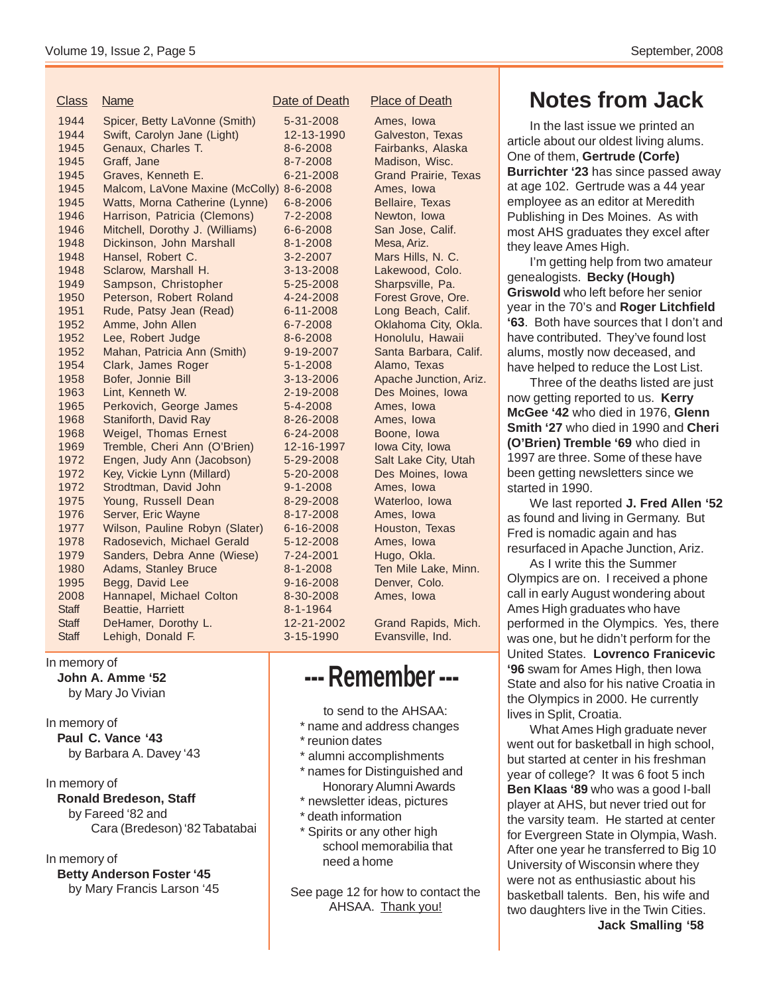| <u>Class</u> | <u>Name</u>                     | Date    |
|--------------|---------------------------------|---------|
| 1944         | Spicer, Betty LaVonne (Smith)   | 5-3     |
| 1944         | Swift, Carolyn Jane (Light)     | $12 -$  |
| 1945         | Genaux, Charles T.              | $8 - 6$ |
| 1945         | Graff, Jane                     | $8 - 7$ |
| 1945         | Graves, Kenneth E.              | $6 - 2$ |
| 1945         | Malcom, LaVone Maxine (McColly) | $8 - 6$ |
| 1945         | Watts, Morna Catherine (Lynne)  | $6 - 8$ |
| 1946         | Harrison, Patricia (Clemons)    | $7 - 2$ |
| 1946         | Mitchell, Dorothy J. (Williams) | $6 - 6$ |
| 1948         | Dickinson, John Marshall        | $8 - 1$ |
| 1948         | Hansel, Robert C.               | $3 - 2$ |
| 1948         | Sclarow, Marshall H.            | $3 - 1$ |
| 1949         | Sampson, Christopher            | $5 - 2$ |
| 1950         | Peterson, Robert Roland         | $4 - 2$ |
| 1951         | Rude, Patsy Jean (Read)         | $6 - 1$ |
| 1952         | Amme, John Allen                | $6 - 7$ |
| 1952         | Lee, Robert Judge               | $8 - 6$ |
| 1952         | Mahan, Patricia Ann (Smith)     | $9 - 1$ |
| 1954         | Clark, James Roger              | $5-1$   |
| 1958         | Bofer, Jonnie Bill              | $3 - 1$ |
| 1963         | Lint, Kenneth W.                | $2 - 1$ |
| 1965         | Perkovich, George James         | $5 - 4$ |
| 1968         | Staniforth, David Ray           | $8 - 2$ |
| 1968         | <b>Weigel, Thomas Ernest</b>    | $6 - 2$ |
| 1969         | Tremble, Cheri Ann (O'Brien)    | $12 -$  |
| 1972         | Engen, Judy Ann (Jacobson)      | $5 - 2$ |
| 1972         | Key, Vickie Lynn (Millard)      | $5 - 2$ |
| 1972         | Strodtman, David John           | $9 - 1$ |
| 1975         | Young, Russell Dean             | $8 - 2$ |
| 1976         | Server, Eric Wayne              | $8 - 1$ |
| 1977         | Wilson, Pauline Robyn (Slater)  | $6 - 1$ |
| 1978         | Radosevich, Michael Gerald      | $5 - 1$ |
| 1979         | Sanders, Debra Anne (Wiese)     | $7 - 2$ |
| 1980         | Adams, Stanley Bruce            | $8 - 1$ |
| 1995         | Begg, David Lee                 | $9 - 1$ |
| 2008         | Hannapel, Michael Colton        | $8 - 3$ |
| <b>Staff</b> | Beattie, Harriett               | $8 - 1$ |
| <b>Staff</b> | DeHamer, Dorothy L.             | $12 -$  |
| <b>Staff</b> | Lehigh, Donald F.               | $3 - 1$ |
|              |                                 |         |

 $14-2008$  Ames, Iowa 13-1990 Galveston, Texas 1-2008 Fairbanks, Alaska 1-2008 Madison, Wisc. 1-2008 Grand Prairie, Texas  $-2008$  Ames, Iowa 1-2006 Bellaire, Texas 1-2008 Newton, Iowa 1-2008 San Jose, Calif. 1948 Dickson, Ariz.<br>1948 Dickson, Dickinson, Marshall B. 3-2008 Lakewood, Colo. 15-2008 Sharpsville, Pa. 1-2008 Honolulu, Hawaii -2008 Alamo, Texas -2008 Ames, Iowa 16-2008 Ames, Iowa 14-2008 Boone, Iowa 16-1997 Iowa City, Iowa -2008 Ames, Iowa 19-2008 Waterloo, Iowa 7-2008 Ames, Iowa 6-2008 Houston, Texas 2-2008 Ames, Iowa 14-2001 Hugo, Okla. 6-2008 Denver, Colo. 10-2008 Ames, Iowa  $-1964$ of Death Place of Death

# Mars Hills, N. C. 14-2008 Forest Grove, Ore. 1-2008 Long Beach, Calif. 1-2008 **Oklahoma City, Okla.** 9-2007 Santa Barbara, Calif. 1958 Bofer, Apache Junction, Ariz.<br>1958 Boger, Des Moines. Iowa Des Moines, Iowa 19-2008 Salt Lake City, Utah 10-2008 Des Moines, Iowa -2008 Ten Mile Lake, Minn.

21-2002 Grand Rapids, Mich. 5-1990 Evansville, Ind.

# **--- Remember ---**

to send to the AHSAA:

- \* name and address changes
- \* reunion dates
- \* alumni accomplishments
- \* names for Distinguished and Honorary Alumni Awards
- \* newsletter ideas, pictures
- \* death information
- \* Spirits or any other high school memorabilia that need a home

See page 12 for how to contact the AHSAA. Thank you!

# **Notes from Jack**

In the last issue we printed an article about our oldest living alums. One of them, **Gertrude (Corfe) Burrichter '23** has since passed away at age 102. Gertrude was a 44 year employee as an editor at Meredith Publishing in Des Moines. As with most AHS graduates they excel after they leave Ames High.

I'm getting help from two amateur genealogists. **Becky (Hough) Griswold** who left before her senior year in the 70's and **Roger Litchfield '63**. Both have sources that I don't and have contributed. They've found lost alums, mostly now deceased, and have helped to reduce the Lost List.

Three of the deaths listed are just now getting reported to us. **Kerry McGee '42** who died in 1976, **Glenn Smith '27** who died in 1990 and **Cheri (O'Brien) Tremble '69** who died in 1997 are three. Some of these have been getting newsletters since we started in 1990.

We last reported **J. Fred Allen '52** as found and living in Germany. But Fred is nomadic again and has resurfaced in Apache Junction, Ariz.

As I write this the Summer Olympics are on. I received a phone call in early August wondering about Ames High graduates who have performed in the Olympics. Yes, there was one, but he didn't perform for the United States. **Lovrenco Franicevic '96** swam for Ames High, then Iowa State and also for his native Croatia in the Olympics in 2000. He currently lives in Split, Croatia.

What Ames High graduate never went out for basketball in high school, but started at center in his freshman year of college? It was 6 foot 5 inch **Ben Klaas '89** who was a good I-ball player at AHS, but never tried out for the varsity team. He started at center for Evergreen State in Olympia, Wash. After one year he transferred to Big 10 University of Wisconsin where they were not as enthusiastic about his basketball talents. Ben, his wife and two daughters live in the Twin Cities. **Jack Smalling '58**

# In memory of

**John A. Amme '52** by Mary Jo Vivian

In memory of

**Paul C. Vance '43** by Barbara A. Davey '43

In memory of

**Ronald Bredeson, Staff** by Fareed '82 and Cara (Bredeson) '82 Tabatabai

In memory of

**Betty Anderson Foster '45**

by Mary Francis Larson '45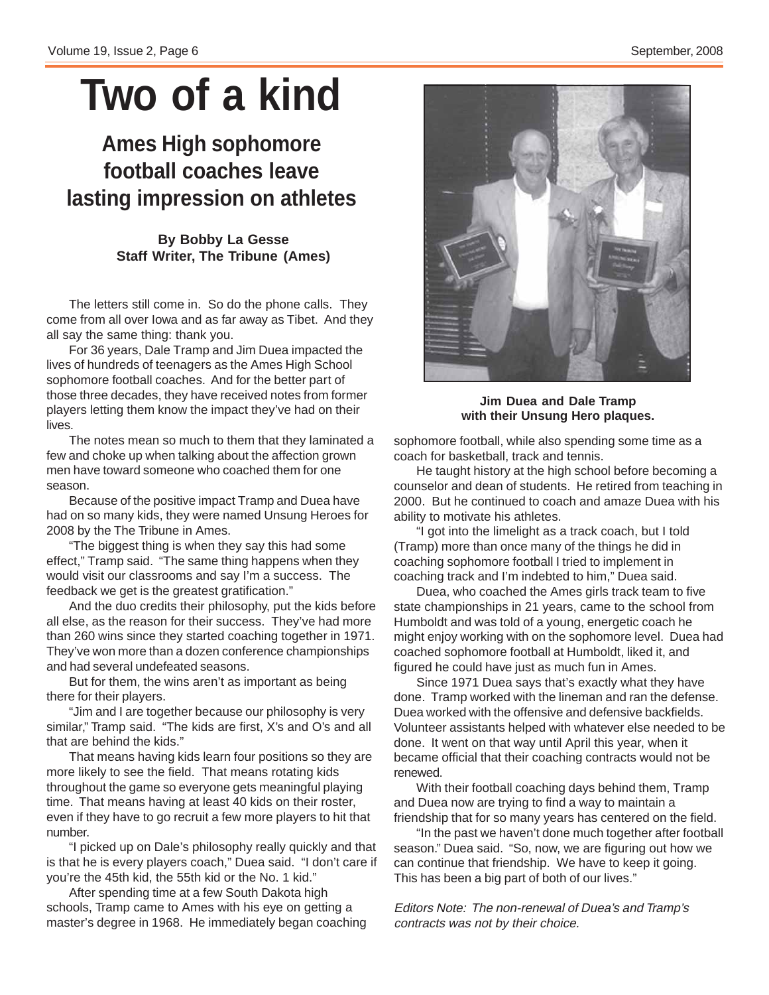# **Two of a kind**

# **Ames High sophomore football coaches leave lasting impression on athletes**

### **By Bobby La Gesse Staff Writer, The Tribune (Ames)**

The letters still come in. So do the phone calls. They come from all over Iowa and as far away as Tibet. And they all say the same thing: thank you.

For 36 years, Dale Tramp and Jim Duea impacted the lives of hundreds of teenagers as the Ames High School sophomore football coaches. And for the better part of those three decades, they have received notes from former players letting them know the impact they've had on their lives.

The notes mean so much to them that they laminated a few and choke up when talking about the affection grown men have toward someone who coached them for one season.

Because of the positive impact Tramp and Duea have had on so many kids, they were named Unsung Heroes for 2008 by the The Tribune in Ames.

"The biggest thing is when they say this had some effect," Tramp said. "The same thing happens when they would visit our classrooms and say I'm a success. The feedback we get is the greatest gratification."

And the duo credits their philosophy, put the kids before all else, as the reason for their success. They've had more than 260 wins since they started coaching together in 1971. They've won more than a dozen conference championships and had several undefeated seasons.

But for them, the wins aren't as important as being there for their players.

"Jim and I are together because our philosophy is very similar," Tramp said. "The kids are first, X's and O's and all that are behind the kids."

That means having kids learn four positions so they are more likely to see the field. That means rotating kids throughout the game so everyone gets meaningful playing time. That means having at least 40 kids on their roster, even if they have to go recruit a few more players to hit that number.

"I picked up on Dale's philosophy really quickly and that is that he is every players coach," Duea said. "I don't care if you're the 45th kid, the 55th kid or the No. 1 kid."

After spending time at a few South Dakota high schools, Tramp came to Ames with his eye on getting a master's degree in 1968. He immediately began coaching



**Jim Duea and Dale Tramp with their Unsung Hero plaques.**

sophomore football, while also spending some time as a coach for basketball, track and tennis.

He taught history at the high school before becoming a counselor and dean of students. He retired from teaching in 2000. But he continued to coach and amaze Duea with his ability to motivate his athletes.

"I got into the limelight as a track coach, but I told (Tramp) more than once many of the things he did in coaching sophomore football I tried to implement in coaching track and I'm indebted to him," Duea said.

Duea, who coached the Ames girls track team to five state championships in 21 years, came to the school from Humboldt and was told of a young, energetic coach he might enjoy working with on the sophomore level. Duea had coached sophomore football at Humboldt, liked it, and figured he could have just as much fun in Ames.

Since 1971 Duea says that's exactly what they have done. Tramp worked with the lineman and ran the defense. Duea worked with the offensive and defensive backfields. Volunteer assistants helped with whatever else needed to be done. It went on that way until April this year, when it became official that their coaching contracts would not be renewed.

With their football coaching days behind them, Tramp and Duea now are trying to find a way to maintain a friendship that for so many years has centered on the field.

"In the past we haven't done much together after football season." Duea said. "So, now, we are figuring out how we can continue that friendship. We have to keep it going. This has been a big part of both of our lives."

Editors Note: The non-renewal of Duea's and Tramp's contracts was not by their choice.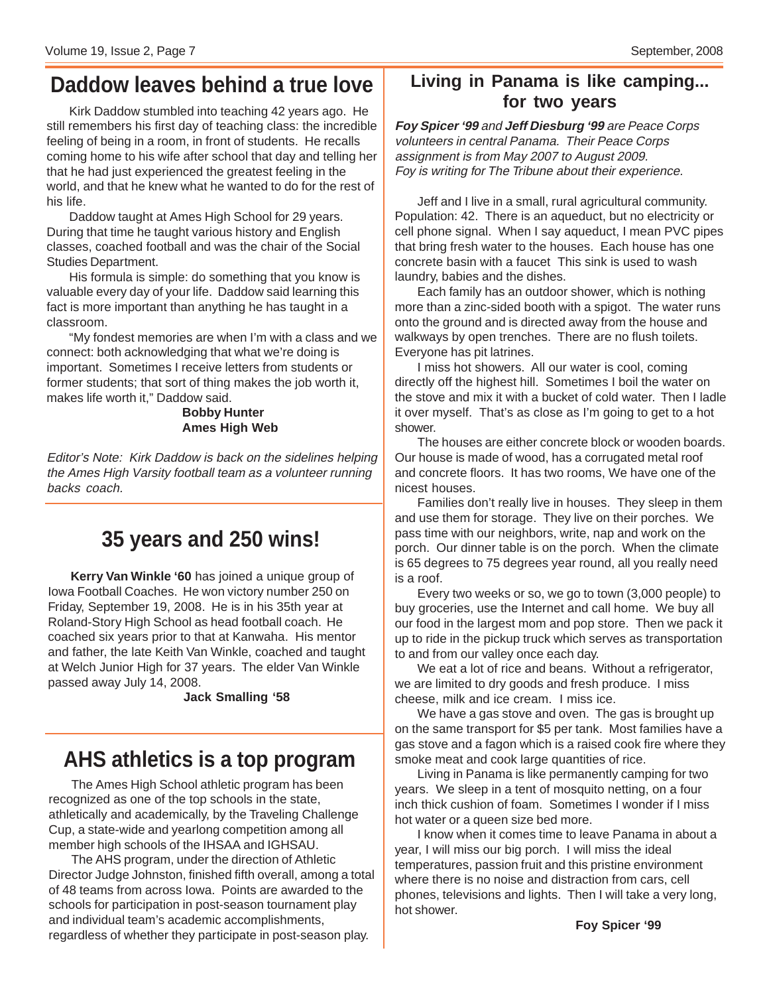## **Daddow leaves behind a true love**

Kirk Daddow stumbled into teaching 42 years ago. He still remembers his first day of teaching class: the incredible feeling of being in a room, in front of students. He recalls coming home to his wife after school that day and telling her that he had just experienced the greatest feeling in the world, and that he knew what he wanted to do for the rest of his life.

Daddow taught at Ames High School for 29 years. During that time he taught various history and English classes, coached football and was the chair of the Social Studies Department.

His formula is simple: do something that you know is valuable every day of your life. Daddow said learning this fact is more important than anything he has taught in a classroom.

"My fondest memories are when I'm with a class and we connect: both acknowledging that what we're doing is important. Sometimes I receive letters from students or former students; that sort of thing makes the job worth it, makes life worth it," Daddow said.

#### **Bobby Hunter Ames High Web**

Editor's Note: Kirk Daddow is back on the sidelines helping the Ames High Varsity football team as a volunteer running backs coach.

# **35 years and 250 wins!**

**Kerry Van Winkle '60** has joined a unique group of Iowa Football Coaches. He won victory number 250 on Friday, September 19, 2008. He is in his 35th year at Roland-Story High School as head football coach. He coached six years prior to that at Kanwaha. His mentor and father, the late Keith Van Winkle, coached and taught at Welch Junior High for 37 years. The elder Van Winkle passed away July 14, 2008.

#### **Jack Smalling '58**

# **AHS athletics is a top program**

The Ames High School athletic program has been recognized as one of the top schools in the state, athletically and academically, by the Traveling Challenge Cup, a state-wide and yearlong competition among all member high schools of the IHSAA and IGHSAU.

The AHS program, under the direction of Athletic Director Judge Johnston, finished fifth overall, among a total of 48 teams from across Iowa. Points are awarded to the schools for participation in post-season tournament play and individual team's academic accomplishments, regardless of whether they participate in post-season play.

### **Living in Panama is like camping... for two years**

**Foy Spicer '99** and **Jeff Diesburg '99** are Peace Corps volunteers in central Panama. Their Peace Corps assignment is from May 2007 to August 2009. Foy is writing for The Tribune about their experience.

Jeff and I live in a small, rural agricultural community. Population: 42. There is an aqueduct, but no electricity or cell phone signal. When I say aqueduct, I mean PVC pipes that bring fresh water to the houses. Each house has one concrete basin with a faucet This sink is used to wash laundry, babies and the dishes.

Each family has an outdoor shower, which is nothing more than a zinc-sided booth with a spigot. The water runs onto the ground and is directed away from the house and walkways by open trenches. There are no flush toilets. Everyone has pit latrines.

I miss hot showers. All our water is cool, coming directly off the highest hill. Sometimes I boil the water on the stove and mix it with a bucket of cold water. Then I ladle it over myself. That's as close as I'm going to get to a hot shower.

The houses are either concrete block or wooden boards. Our house is made of wood, has a corrugated metal roof and concrete floors. It has two rooms, We have one of the nicest houses.

Families don't really live in houses. They sleep in them and use them for storage. They live on their porches. We pass time with our neighbors, write, nap and work on the porch. Our dinner table is on the porch. When the climate is 65 degrees to 75 degrees year round, all you really need is a roof.

Every two weeks or so, we go to town (3,000 people) to buy groceries, use the Internet and call home. We buy all our food in the largest mom and pop store. Then we pack it up to ride in the pickup truck which serves as transportation to and from our valley once each day.

We eat a lot of rice and beans. Without a refrigerator, we are limited to dry goods and fresh produce. I miss cheese, milk and ice cream. I miss ice.

We have a gas stove and oven. The gas is brought up on the same transport for \$5 per tank. Most families have a gas stove and a fagon which is a raised cook fire where they smoke meat and cook large quantities of rice.

Living in Panama is like permanently camping for two years. We sleep in a tent of mosquito netting, on a four inch thick cushion of foam. Sometimes I wonder if I miss hot water or a queen size bed more.

I know when it comes time to leave Panama in about a year, I will miss our big porch. I will miss the ideal temperatures, passion fruit and this pristine environment where there is no noise and distraction from cars, cell phones, televisions and lights. Then I will take a very long, hot shower.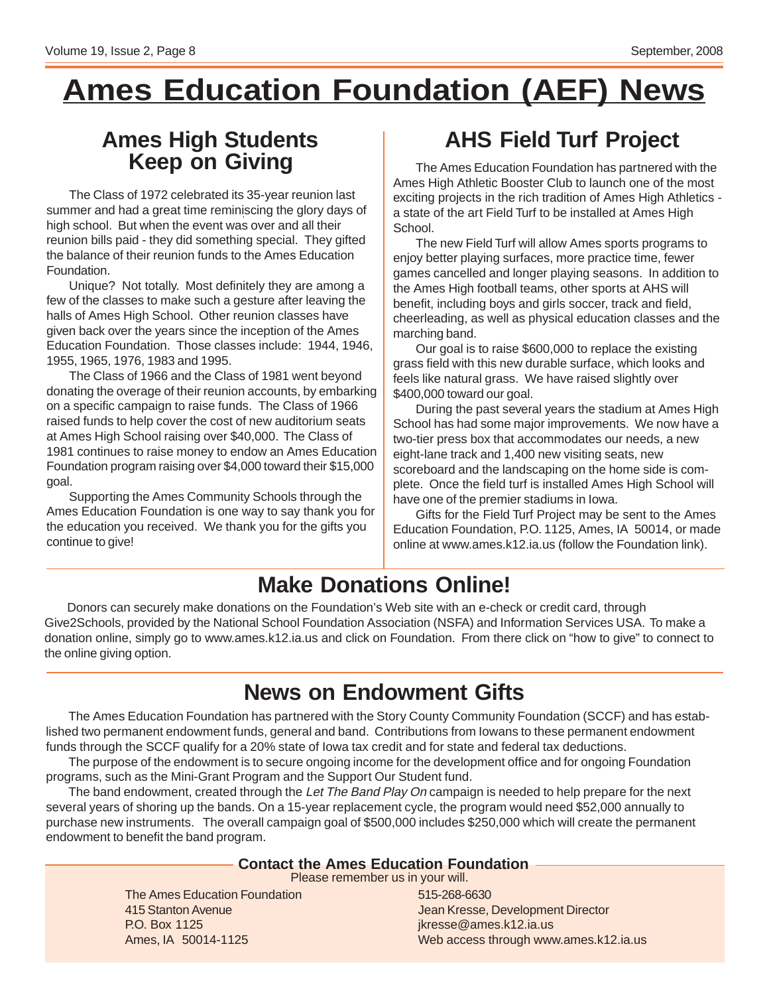# **Ames Education Foundation (AEF) News**

# **Keep on Giving**

The Class of 1972 celebrated its 35-year reunion last summer and had a great time reminiscing the glory days of high school. But when the event was over and all their reunion bills paid - they did something special. They gifted the balance of their reunion funds to the Ames Education Foundation.

Unique? Not totally. Most definitely they are among a few of the classes to make such a gesture after leaving the halls of Ames High School. Other reunion classes have given back over the years since the inception of the Ames Education Foundation. Those classes include: 1944, 1946, 1955, 1965, 1976, 1983 and 1995.

The Class of 1966 and the Class of 1981 went beyond donating the overage of their reunion accounts, by embarking on a specific campaign to raise funds. The Class of 1966 raised funds to help cover the cost of new auditorium seats at Ames High School raising over \$40,000. The Class of 1981 continues to raise money to endow an Ames Education Foundation program raising over \$4,000 toward their \$15,000 goal.

Supporting the Ames Community Schools through the Ames Education Foundation is one way to say thank you for the education you received. We thank you for the gifts you continue to give!

# **Ames High Students AHS Field Turf Project**

The Ames Education Foundation has partnered with the Ames High Athletic Booster Club to launch one of the most exciting projects in the rich tradition of Ames High Athletics a state of the art Field Turf to be installed at Ames High School.

The new Field Turf will allow Ames sports programs to enjoy better playing surfaces, more practice time, fewer games cancelled and longer playing seasons. In addition to the Ames High football teams, other sports at AHS will benefit, including boys and girls soccer, track and field, cheerleading, as well as physical education classes and the marching band.

Our goal is to raise \$600,000 to replace the existing grass field with this new durable surface, which looks and feels like natural grass. We have raised slightly over \$400,000 toward our goal.

During the past several years the stadium at Ames High School has had some major improvements. We now have a two-tier press box that accommodates our needs, a new eight-lane track and 1,400 new visiting seats, new scoreboard and the landscaping on the home side is complete. Once the field turf is installed Ames High School will have one of the premier stadiums in Iowa.

Gifts for the Field Turf Project may be sent to the Ames Education Foundation, P.O. 1125, Ames, IA 50014, or made online at www.ames.k12.ia.us (follow the Foundation link).

# **Make Donations Online!**

Donors can securely make donations on the Foundation's Web site with an e-check or credit card, through Give2Schools, provided by the National School Foundation Association (NSFA) and Information Services USA. To make a donation online, simply go to www.ames.k12.ia.us and click on Foundation. From there click on "how to give" to connect to the online giving option.

# **News on Endowment Gifts**

The Ames Education Foundation has partnered with the Story County Community Foundation (SCCF) and has established two permanent endowment funds, general and band. Contributions from Iowans to these permanent endowment funds through the SCCF qualify for a 20% state of Iowa tax credit and for state and federal tax deductions.

The purpose of the endowment is to secure ongoing income for the development office and for ongoing Foundation programs, such as the Mini-Grant Program and the Support Our Student fund.

The band endowment, created through the Let The Band Play On campaign is needed to help prepare for the next several years of shoring up the bands. On a 15-year replacement cycle, the program would need \$52,000 annually to purchase new instruments. The overall campaign goal of \$500,000 includes \$250,000 which will create the permanent endowment to benefit the band program.

### **Contact the Ames Education Foundation**

Please remember us in your will.

The Ames Education Foundation 415 Stanton Avenue P.O. Box 1125 Ames, IA 50014-1125

515-268-6630 Jean Kresse, Development Director jkresse@ames.k12.ia.us Web access through www.ames.k12.ia.us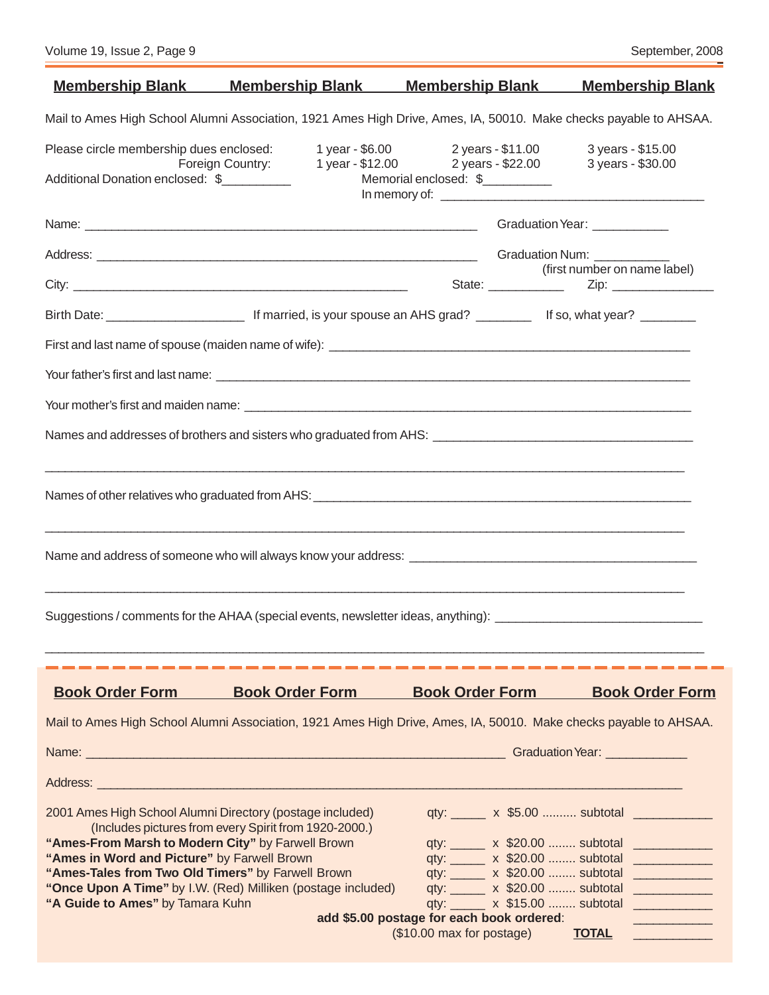| <u>Membership Blank Membership Blank Membership Blank</u>                                                                                                                                                                            |                                                        |                                           | <b>Membership Blank</b>                              |
|--------------------------------------------------------------------------------------------------------------------------------------------------------------------------------------------------------------------------------------|--------------------------------------------------------|-------------------------------------------|------------------------------------------------------|
| Mail to Ames High School Alumni Association, 1921 Ames High Drive, Ames, IA, 50010. Make checks payable to AHSAA.                                                                                                                    |                                                        |                                           |                                                      |
| Please circle membership dues enclosed:                                                                                                                                                                                              |                                                        | 1 year - \$6.00 2 years - \$11.00         | 3 years - \$15.00                                    |
| Additional Donation enclosed: \$                                                                                                                                                                                                     | 1 year - \$12.00 2 years - \$22.00<br>Foreign Country: | Memorial enclosed: \$                     | 3 years - \$30.00                                    |
| Name: <u>example and a series of the series of the series of the series of the series of the series of the series of the series of the series of the series of the series of the series of the series of the series of the serie</u> |                                                        |                                           | Graduation Year: ____________                        |
|                                                                                                                                                                                                                                      |                                                        |                                           |                                                      |
|                                                                                                                                                                                                                                      |                                                        |                                           | (first number on name label)                         |
| Birth Date: <u>_____________________________</u> If married, is your spouse an AHS grad? ________________ If so, what year? _________                                                                                                |                                                        |                                           |                                                      |
|                                                                                                                                                                                                                                      |                                                        |                                           |                                                      |
|                                                                                                                                                                                                                                      |                                                        |                                           |                                                      |
|                                                                                                                                                                                                                                      |                                                        |                                           |                                                      |
|                                                                                                                                                                                                                                      |                                                        |                                           |                                                      |
|                                                                                                                                                                                                                                      |                                                        |                                           |                                                      |
|                                                                                                                                                                                                                                      |                                                        |                                           |                                                      |
| Suggestions / comments for the AHAA (special events, newsletter ideas, anything): ____________________________                                                                                                                       |                                                        |                                           |                                                      |
| <b>Book Order Form</b>                                                                                                                                                                                                               | <b>Book Order Form</b>                                 | <b>Book Order Form</b>                    | <b>Book Order Form</b>                               |
| Mail to Ames High School Alumni Association, 1921 Ames High Drive, Ames, IA, 50010. Make checks payable to AHSAA.                                                                                                                    |                                                        |                                           |                                                      |
|                                                                                                                                                                                                                                      |                                                        |                                           |                                                      |
|                                                                                                                                                                                                                                      |                                                        |                                           |                                                      |
| 2001 Ames High School Alumni Directory (postage included)                                                                                                                                                                            |                                                        |                                           |                                                      |
| "Ames-From Marsh to Modern City" by Farwell Brown                                                                                                                                                                                    | (Includes pictures from every Spirit from 1920-2000.)  |                                           | qty: x \$20.00  subtotal                             |
| "Ames in Word and Picture" by Farwell Brown                                                                                                                                                                                          |                                                        |                                           | qty: ______ x \$20.00  subtotal _____________        |
| "Ames-Tales from Two Old Timers" by Farwell Brown<br>"Once Upon A Time" by I.W. (Red) Milliken (postage included)                                                                                                                    |                                                        |                                           | qty: x \$20.00  subtotal<br>qty: x \$20.00  subtotal |
| "A Guide to Ames" by Tamara Kuhn                                                                                                                                                                                                     |                                                        |                                           | qty: x \$15.00  subtotal                             |
|                                                                                                                                                                                                                                      |                                                        | add \$5.00 postage for each book ordered: |                                                      |
|                                                                                                                                                                                                                                      |                                                        | (\$10.00 max for postage)                 | <b>TOTAL</b>                                         |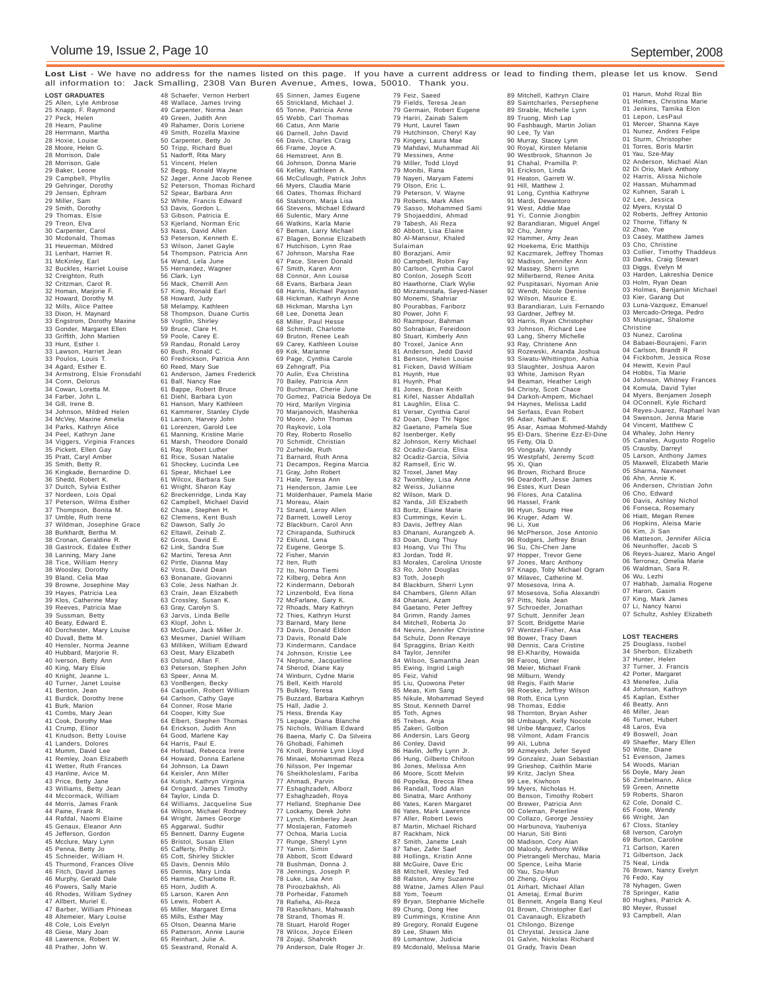**Lost List** - We have no address for the names listed on this page. If you have a current address or lead to finding them, please let us know. Send all information to: Jack Smalling, 2308 Van Buren Avenue, Ames, Iowa, 50010. Thank you.

**LOST GRADUATES** 25 Allen, Lyle Ambrose 25 Knapp, F. Raymond 27 Peck, Helen 28 Hearn, Pauline 28 Herrmann, Martha 28 Hoxie, Louise 28 Moore, Helen G. 28 Morrison, Dale 28 Morrison, Gale 29 Baker, Leone 29 Campbell, Phyllis 29 Gehringer, Dorothy 29 Jensen, Ephram 29 Miller, Sam 29 Smith, Dorothy 29 Thomas, Elsie 29 Treon, Elva 30 Carpenter, Carol 30 Mcdonald, Thomas 31 Heuerman, Mildred 31 Lenhart, Harriet R. 31 McKinley, Earl 32 Buckles, Harriet Louise 32 Creighton, Ruth 32 Critzman, Carol R. 32 Homan, Marjorie F. 32 Howard, Dorothy M. 32 Mills, Alice Pattee 33 Dixon, H. Maynard 33 Engstrom, Dorothy Maxine 33 Gonder, Margaret Ellen 33 Griffith, John Martien 33 Hunt, Esther I. 33 Lawson, Harriet Jean 33 Poulos, Louis T. 34 Agard, Esther E. 34 Armstrong, Elsie Fronsdahl 34 Conn, Delorus 34 Cowan, Loretta M. 34 Farber, John L. 34 Gill, Irene B. 34 Johnson, Mildred Helen 34 McVey, Maxine Amelia 34 Parks, Kathryn Alice 34 Peel, Kathryn Jane 34 Viggers, Virginia Frances 35 Pickett, Ellen Gay 35 Pratt, Caryl Amber 35 Smith, Betty R. 36 Kingkade, Bernardine D. 36 Shedd, Robert K. 37 Duitch, Sylvia Esther 37 Nordeen, Lois Opal 37 Peterson, Wilma Esther 37 Thompson, Bonita M. 37 Umble, Ruth Irene 37 Wildman, Josephine Grace 38 Burkhardt, Bertha M. 38 Cronan, Geraldine R. 38 Gastrock, Edalee Esther 38 Lanning, Mary Jane 38 Tice, William Henry 38 Woosley, Dorothy 39 Bland, Celia Mae 39 Browne, Josephine May 39 Hayes, Patricia Lea 39 Klos, Catherine May 39 Reeves, Patricia Mae 39 Sussman, Betty 40 Beaty, Edward E. 40 Dorchester, Mary Louise 40 Duvall, Bette M. 40 Hensler, Norma Jeanne 40 Hubbard, Marjorie R. 40 Iverson, Betty Ann 40 King, Mary Elsie 40 Knight, Jeanne L. 40 Turner, Janet Louise 41 Benton, Jean 41 Burdick, Dorothy Irene 41 Burk, Marion 41 Combs, Mary Jean 41 Cook, Dorothy Mae 41 Crump, Elinor 41 Knudson, Betty Louise 41 Landers, Dolores 41 Mumm, David Lee 41 Remley, Joan Elizabeth 41 Wetter, Ruth Frances 43 Hanline, Avice M. 43 Price, Betty Jane 43 Williams, Betty Jean 44 Mccormack, William 44 Morris, James Frank 44 Paine, Frank R. 44 Rafdal, Naomi Elaine 45 Genaux, Eleanor Ann 45 Jefferson, Gordon 45 Mcclure, Mary Lynn 45 Penna, Betty Jo 45 Schneider, William H. 45 Thurmond, Frances Olive 46 Fitch, David James 46 Murphy, Gerald Dale 46 Powers, Sally Marie 46 Rhodes, William Sydney 47 Allbert, Muriel E. 47 Barber, William Phineas 48 Altemeier, Mary Louise 48 Cole, Lois Evelyn 48 Giese, Mary Joan 48 Lawrence, Robert W. 48 Prather, John W.

48 Schaefer, Vernon Herbert 48 Wallace, James Irving 49 Carpenter, Norma Jean 49 Green, Judith Ann 49 Rahamer, Doris Loriene 49 Smith, Rozella Maxine 50 Carpenter, Betty Jo 50 Tripp, Richard Buel 51 Nadorff, Rita Mary 51 Vincent, Helen 52 Begg, Ronald Wayne 52 Jager, Anne Jacob Renee 52 Peterson, Thomas Richard 52 Spear, Barbara Ann 52 White, Francis Edward 53 Davis, Gordon L. 53 Gibson, Patricia E. 53 Kjerland, Norman Eric 53 Nass, David Allen 53 Peterson, Kenneth E. 53 Wilson, Janet Gayle 54 Thompson, Patricia Ann 54 Wand, Lela June 55 Hernandez, Wagner 56 Clark, Lyn 56 Mack, Cherrill Ann 57 King, Ronald Earl 58 Howard, Judy 58 Melampy, Kathleen 58 Thompson, Duane Curtis 58 Vogtlin, Shirley 59 Bruce, Clare H. 59 Poole, Carey E. 59 Randau, Ronald Leroy 60 Bush, Ronald C. 60 Fredrickson, Patricia Ann 60 Reed, Mary Sue 61 Anderson, James Frederick 61 Ball, Nancy Rae 61 Bappe, Robert Bruce 61 Diehl, Barbara Lyon 61 Hanson, Mary Kathleen 61 Kammerer, Stanley Clyde 61 Larson, Harvey John 61 Lorenzen, Garold Lee 61 Manning, Kristine Marie 61 Marsh, Theodore Donald 61 Ray, Robert Luther 61 Rice, Susan Natalie 61 Shockey, Lucinda Lee 61 Spear, Michael Lee 61 Wilcox, Barbara Sue 61 Wright, Sharon Kay 62 Breckenridge, Linda Kay 62 Campbell, Michael David 62 Chase, Stephen H. 62 Clemens, Kent Bush 62 Dawson, Sally Jo 62 Eltawil, Zeinab Z. 62 Gross, David E. 62 Link, Sandra Sue 62 Martini, Teresa Ann 62 Pirtle, Dianna May 62 Voss, David Dean 63 Bonanate, Giovanni 63 Cole, Jess Nathan Jr. 63 Crain, Jean Elizabeth 63 Crossley, Susan K. 63 Gray, Carolyn S. 63 Jarvis, Linda Belle 63 Klopf, John L. 63 McGuire, Jack Miller Jr. 63 Mesmer, Daniel William 63 Milliken, William Edward 63 Oest, Mary Elizabeth 63 Oslund, Allan F. 63 Peterson, Stephen John 63 Speer, Anna M. 63 VonBergen, Becky 64 Caquelin, Robert William 64 Carlson, Cathy Gaye 64 Conner, Rose Marie 64 Cooper, Kitty Sue 64 Elbert, Stephen Thomas 64 Erickson, Judith Ann 64 Good, Marlene Kay 64 Harris, Paul E. 64 Hofstad, Rebecca Irene 64 Howard, Donna Earlene 64 Johnson, La Dawn 64 Keisler, Ann Miller 64 Kutish, Kathryn Virginia 64 Orngard, James Timothy 64 Taylor, Linda D. 64 Williams, Jacqueline Sue 64 Wilson, Michael Rodney 64 Wright, James George 65 Aggarwal, Sudhir 65 Bennett, Danny Eugene 65 Bristol, Susan Ellen 65 Cafferty, Phillip J. 65 Cott, Shirley Stickler 65 Davis, Dennis Milo 65 Dennis, Mary Linda 65 Hamme, Charlotte R. 65 Horn, Judith A. 65 Larson, Karen Ann 65 Lewis, Robert A. 65 Miller, Margaret Erma 65 Mills, Esther May 65 Olson, Deanna Marie 65 Patterson, Annie Laurie 65 Reinhart, Julie A. 65 Seastrand, Ronald A.

65 Sinnen, James Eugene 65 Strickland, Michael J. 65 Tonne, Patricia Anne 65 Webb, Carl Thomas 66 Catus, Ann Marie 66 Darnell, John David 66 Davis, Charles Craig 66 Frame, Joyce A. 66 Hemstreet, Ann B. 66 Johnson, Donna Marie 66 Kelley, Kathleen A. 66 McCullough, Patrick John 66 Myers, Claudia Marie 66 Oates, Thomas Richard 66 Stalstrom, Marja Lisa 66 Stevens, Michael Edward 66 Sulentic, Mary Anne 66 Watkins, Karla Marie 67 Beman, Larry Michael 67 Blagen, Bonnie Elizabeth 67 Hutchison, Lynn Rae 67 Johnson, Marsha Rae 67 Pace, Steven Donald 67 Smith, Karen Ann 68 Connor, Ann Louise 68 Evans, Barbara Jean 68 Harris, Michael Payson 68 Hickman, Kathryn Anne 68 Hickman, Marsha Lyn 68 Lee, Donetta Jean 68 Miller, Paul Hesse 68 Schmidt, Charlotte 69 Bruton, Renee Leah 69 Carey, Kathleen Louise 69 Kok, Marianne 69 Page, Cynthia Carole 69 Zehngraff, Pia 70 Aulin, Eva Christina 70 Bailey, Patricia Ann 70 Buchman, Cherie June 70 Gomez, Patricia Bedoya De 70 Hird, Marilyn Virginia 70 Marjanovich, Mashenka 70 Moore, John Thomas 70 Raykovic, Lola 70 Rey, Roberto Rosello 70 Schmidt, Christian 70 Zurheide, Ruth 71 Barnard, Ruth Anna 71 Decampos, Regina Marcia 71 Gray, John Robert 71 Hale, Teresa Ann 71 Henderson, Jamie Lee 71 Moldenhauer, Pamela Marie 71 Moreau, Alain 71 Strand, Leroy Allen 72 Barnett, Lowell Leroy 72 Blackburn, Carol Ann 72 Chirapanda, Suthiruck 72 Eklund, Lena 72 Eugene, George S. 72 Fisher, Marvin 72 Iten, Ruth 72 Ito, Norma Tiemi 72 Kilberg, Debra Ann 72 Kindermann, Deborah 72 Linzenbold, Eva Ilona 72 McFarlane, Gary K. 72 Rhoads, Mary Kathryn 72 Thies, Kathryn Hurst 73 Barnard, Mary Ilene 73 Davis, Donald Eldon 73 Davis, Ronald Dale 73 Kindermann, Candace 74 Johnson, Kristie Lee 74 Johnson, Kristie Lee<br>74 Neptune, Jacqueline 74 Sherod, Diane Kay 74 Winburn, Cydne Marie 75 Bell, Keith Harold 75 Bulkley, Teresa 75 Buzzard, Barbara Kathryn 75 Hall, Jadie J. 75 Hess, Brenda Kay 75 Lepage, Diana Blanche 75 Nichols, William Edward 76 Baena, Marly C. Da Silveira 76 Ghobadi, Fahimeh 76 Knoll, Bonnie Lynn Lloyd 76 Minaei, Mohammad Reza 76 Nilsson, Per Ingemar 76 Sheikholeslami, Fariba 77 Ahmadi, Parvin 77 Eshaghzadeh, Alborz 77 Eshaghzadeh, Roya 77 Helland, Stephanie Dee 77 Lockamy, Derek John 77 Lynch, Kimberley Jean 77 Mostajeran, Fatomeh 77 Ochoa, Maria Lucia 77 Runge, Sheryl Lynn 77 Yamin, Simin 78 Abbott, Scott Edward 78 Bushman, Donna J. 78 Jennings, Joseph P. 78 Luke, Lisa Ann 78 Piroozbakhsh, Ali 78 Porheidar, Fatomeh 78 Rafieha, Ali-Reza 78 Rasolkhani, Mahwash 78 Strand, Thomas R. 78 Stuart, Harold Roger 78 Wilcox, Joyce Eileen 78 Zojaji, Shahrokh 79 Anderson, Dale Roger Jr.

79 Feiz, Saeed 79 Fields, Teresa Jean 79 Germain, Robert Eugene<br>79 Hariri, Zainab Salem 79 Hariri, Zainab Salem 79 Hunt, Laurel Tawn 79 Hutchinson, Cheryl Kay 79 Kingery, Laura Mae 79 Mahdavi, Muhammad Ali 79 Messines, Anne 79 Miller, Todd Lloyd 79 Monibi, Rana 79 Nayeri, Maryam Fatemi 79 Olson, Eric L. 79 Peterson, V. Wayne 79 Roberts, Mark Allen 79 Sasso, Mohammed Sami 79 Shojaeddini, Ahmad 79 Tabesh, Ali Reza 80 Abbott, Lisa Elaine 80 Al-Mansour, Khaled Sulaiman 80 Borazjani, Amir 80 Campbell, Robin Fay 80 Carlson, Cynthia Carol 80 Conlon, Joseph Scott 80 Hawthorne, Clark Wylie 80 Mirzamostafa, Seyed-Naser 80 Monemi, Shahriar 80 Pourabbas, Fariborz 80 Power, John F. 80 Razmpour, Bahman 80 Sohrabian, Fereidoon 80 Stuart, Kimberly Ann 80 Troxel, Janice Ann 81 Anderson, Jedd David 81 Benson, Helen Louise 81 Ficken, David William 81 Huynh, Hue 81 Huynh, Phat 81 Jones, Brian Keith 81 Kifel, Nasser Abdallah 81 Laughlin, Elisa C. 81 Verser, Cynthia Carol 82 Doan, Diep Thi Ngoc 82 Gaetano, Pamela Sue 82 Isenberger, Kelly 82 Johnson, Kerry Michael 82 Ocadiz-Garcia, Elisa 82 Ocadiz-Garcia, Silvia 82 Ramsell, Eric W. 82 Troxel, Janet May 82 Twombley, Lisa Anne 82 Weiss, Julianne 82 Wilson, Mark D. 82 Yanda, Jill Elizabeth 83 Bortz, Elaine Marie 83 Cummings, Kevin L. 83 Davis, Jeffrey Alan 83 Dhanani, Aurangzeb A. 83 Doan, Dung Thuy 83 Hoang, Vui Thi Thu 83 Jordan, Todd R. 83 Morales, Carolina Urioste 83 Ro, John Douglas 83 Toth, Joseph 84 Blackburn, Sherri Lynn 84 Chambers, Glenn Allan 84 Dhanani, Azam 84 Gaetano, Peter Jeffrey 84 Grimm, Randy James 84 Mitchell, Roberta Jo 84 Nevins, Jennifer Christine 84 Schulz, Donn Renaye 84 Spraggins, Brian Keith 84 Taylor, Jennifer 84 Wilson, Samantha Jean 85 Ewing, Ingrid Leigh 85 Feiz, Vahid 85 Liu, Quowona Peter 85 Meas, Kim Sang 85 Nikule, Mohammad Seyed 85 Stout, Kenneth Darrel 85 Toth, Agnes 85 Trebes, Anja 85 Zakeri, Golbon 86 Andersin, Lars Georg 86 Conley, David 86 Havlin, Jeffry Lynn Jr. 86 Hung, Gilberto Chifoon 86 Jones, Melissa Ann 86 Moore, Scott Melvin 86 Popelka, Brecca Rhea 86 Randall, Todd Alan 86 Sinatra, Marc Anthony 86 Yates, Karen Margaret 86 Yates, Mark Lawrence 87 Aller, Robert Lewis 87 Martin, Michael Richard 87 Rackham, Nick 87 Smith, Janette Leah 87 Taher, Zafer Saef 88 Hollings, Kristin Anne 88 McGuire, Dave Eric 88 Mitchell, Wesley Ted 88 Ralston, Amy Suzanne 88 Watne, James Allen Paul 88 Yom, Toeum 89 Bryan, Stephanie Michelle 89 Chung, Dong Hee 89 Cummings, Kristine Ann 89 Gregory, Ronald Eugene 89 Lee, Shawn Min 89 Lomantow, Judicia 89 Mcdonald, Melissa Marie

89 Mitchell, Kathryn Claire 89 Saintcharles, Persephene 89 Strable, Michelle Lynn 89 Truong, Minh Lap 90 Fashbaugh, Martin Jolian 90 Lee, Ty Van 90 Murray, Stacey Lynn 90 Royal, Kirsten Melanie 90 Westbrook, Shannon Jo 91 Chahal, Pramilla P. 91 Erickson, Linda 91 Heaton, Garrett W. 91 Hill, Matthew J. 91 Long, Cynthia Kathryne 91 Mardi, Dewantoro 91 West, Addie Mae 91 Yi, Connie Jiongbin 92 Barandiaran, Miguel Angel 92 Chu, Jenny 92 Hammer, Amy Jean 92 Hoekema, Eric Matthijs 92 Kaczmarek, Jeffrey Thomas 92 Madison, Jennifer Ann 92 Massey, Sherri Lynn 92 Millerbernd, Renee Anita 92 Puspitasari, Nyoman Anie 92 Wendt, Nicole Denise 92 Wilson, Maurice E. 93 Barandiaran, Luis Fernando 93 Gardner, Jeffrey M. 93 Harris, Ryan Christopher 93 Johnson, Richard Lee 93 Lang, Sherry Michelle 93 Ray, Christene Ann 93 Rozewski, Ananda Joshua 93 Siwatu-Whittington, Ashia 93 Slaughter, Joshua Aaron 93 White, Jamison Ryan 94 Beaman, Heather Leigh 94 Christy, Scott Chace 94 Darkoh-Ampem, Michael 94 Haynes, Melissa Ladd 94 Serfass, Evan Robert 95 Adair, Nathan E. 95 Asar, Asmaa Mohmed-Mahdy 95 El-Dars, Sherine Ezz-El-Dine 95 Fetty, Ola D. 95 Vongsaly, Vanndy 95 Westpfahl, Jeremy Scott 95 Xi, Qian 96 Brown, Richard Bruce 96 Deardorff, Jesse James 96 Estes, Kurt Dean 96 Flores, Ana Catalina 96 Hassel, Frank 96 Hyun, Soung Hee 96 Kruger, Adam W. 96 Li, Xue 96 McPherson, Jose Antonio 96 Rodgers, Jeffrey Brian 96 Su, Chi-Chen Jane 97 Hopper, Trevor Gene 97 Jones, Marc Anthony 97 Knapp, Toby Michael Ogram 97 Milavec, Catherine M. 97 Mosesova, Irina A. 97 Mosesova, Sofia Alexandri 97 Pitts, Nola Jean 97 Schroeder, Jonathan 97 Schutt, Jennifer Jean 97 Scott, Bridgette Marie 97 Wentzel-Fisher, Asa 98 Bower, Tracy Dawn 98 Dennis, Cara Cristine 98 El-Khariby, Howaida 98 Farooq, Umer 98 Meier, Michael Frank 98 Milburn, Wendy 98 Regis, Faith Marie 98 Roeske, Jeffrey Wilson 98 Roth, Erica Lynn 98 Thomas, Eddie 98 Thornton, Bryan Asher 98 Umbaugh, Kelly Nocole 98 Uribe Marquez, Carlos 98 Vilmont, Adam Francis 99 Ali, Lubna 99 Azmeyesh, Jefer Seyed 99 Gonzalez, Juan Sebastian 99 Grieshop, Caithlin Marie 99 Kritz, Jaclyn Shea 99 Lee, Kiwhoon 99 Myers, Nicholas H. 00 Benson, Timothy Robert 00 Brewer, Patricia Ann 00 Coleman, Peterline 00 Collazo, George Jessiey 00 Harbunova, Yauheniya 00 Harun, Siti Binti<br>00 Malooly, Anthony Wilke<br>00 Malooly, Anthony Wilke<br>00 Spence, Leiha Marie<br>00 Yau, Szu-Mun<br>00 Zheng, Oiyou<br>00 Zheng, Oiyou<br>01 Airhart, Michael Allan 01 Ametaj, Ermal Burim 01 Bennett, Angela Bang Keul 01 Brown, Christopher Earl 01 Cavanaugh, Elizabeth 01 Chilongo, Bizenge 01 Chrystal, Jessica Jane 01 Galvin, Nickolas Richard 01 Grady, Travis Dean

01 Harun, Mohd Rizal Bin 01 Holmes, Christina Marie 01 Jenkins, Tamika Elon 01 Lepon, LesPaul 01 Lepon, Lesr aur<br>01 Mercer, Shanna Kaye 01 Nunez, Andres Felipe 01 Sturm, Christopher 01 Torres, Boris Martin 01 Yau, Sze-May 02 Anderson, Michael Alan 02 Di Orio, Mark Anthony 02 Harris, Alissa Nichole 02 Hassan, Muhammad 02 Kuhnen, Sarah L 02 Lee, Jessica 02 Myers, Krystal D 02 Roberts, Jeffrey Antonio 02 Thorne, Tiffany N 02 Zhao, Yue 03 Casey, Matthew James 03 Cho, Christine 03 Collier, Timothy Thaddeus 03 Danks, Craig Stewart 03 Diggs, Evelyn M 03 Harden, Lakreshia Denice 03 Holm, Ryan Dean 03 Holmes, Benjamin Michael 03 Kier, Garang Dut 03 Luna-Vazquez, Emanuel 03 Mercado-Ortega, Pedro 03 Musignac, Shalome Christine 03 Nunez, Carolina 04 Babaei-Bourajeni, Farin 04 Carlson, Brandt R 04 Fickbohm, Jessica Rose 04 Hewitt, Kevin Paul 04 Hobbs, Tia Marie 04 Johnson, Whitney Frances 04 Komula, David Tyler 04 Myers, Benjamen Joseph 04 OConnell, Kyle Richard 04 Reyes-Juarez, Raphael Ivan 04 Swenson, Jenna Marie 04 Vincent, Matthew C 04 Whaley, John Henry 05 Canales, Augusto Rogelio 05 Crausby, Darreyl 05 Larson, Anthony James 05 Maxwell, Elizabeth Marie 05 Sharma, Navneet 06 Ahn, Annie K. 06 Andersen, Christian John 06 Cho, Edward 06 Davis, Ashley Nichol 06 Fonseca, Rosemary 06 Hiatt, Megan Renee 06 Hopkins, Aleisa Marie 06 Kim, Ji San 06 Matteson, Jennifer Alicia 06 Neunhoffer, Jacob S 06 Reyes-Juarez, Mario Angel 06 Terronez, Omelia Marie 06 Waldman, Sara R. 06 Wu, Lezhi 07 Habhab, Jamalia Rogene 07 Haron, Gasim 07 King, Mark James 07 Li, Nancy Nanxi 07 Schultz, Ashley Elizabeth

#### **LOST TEACHERS**

25 Douglass, Isobel 34 Sherbon, Elizabeth 37 Hunter, Helen 37 Turner, J. Francis 42 Porter, Margaret 43 Menefee, Julia 44 Johnson, Kathryn 45 Kaplan, Esther 46 Beatty, Ann 46 Miller, Jean 46 Turner, Hubert 48 Laros, Eva 49 Boswell, Joan 49 Shaeffer, Mary Ellen 50 Witte, Diane 51 Evenson, James 54 Woods, Marian 56 Doyle, Mary Jean 56 Zimbelmann, Alice 59 Green, Annette 59 Roberts, Sharon 62 Cole, Donald C. 65 Foote, Wendy 66 Wright, Jan 67 Closs, Stanley 68 Iverson, Carolyn 69 Burton, Caroline 71 Carlson, Karen 71 Gilbertson, Jack 75 Neal, Linda 76 Brown, Nancy Evelyn 76 Fedo, Kay 78 Nyhagen, Gwen 78 Springer, Katie 80 Hughes, Patrick A. 80 Meyer, Russel 93 Campbell, Alan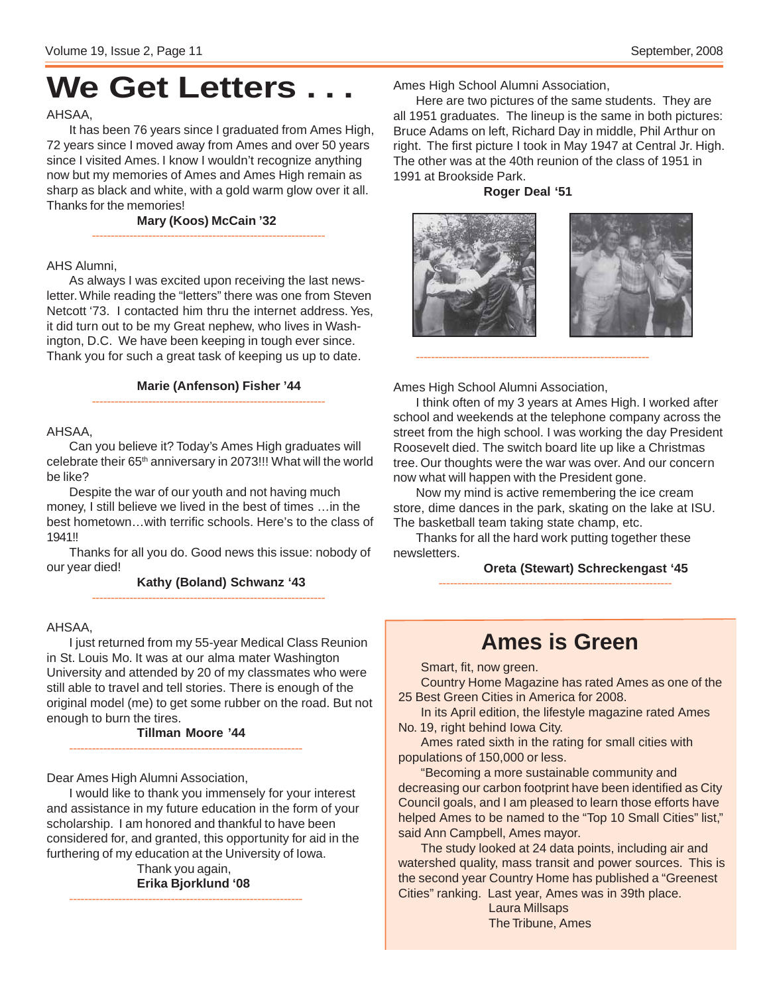# **We Get Letters . . .**

### AHSAA,

It has been 76 years since I graduated from Ames High, 72 years since I moved away from Ames and over 50 years since I visited Ames. I know I wouldn't recognize anything now but my memories of Ames and Ames High remain as sharp as black and white, with a gold warm glow over it all. Thanks for the memories!

> **Mary (Koos) McCain '32** --------------------------------------------------------------

#### AHS Alumni,

As always I was excited upon receiving the last newsletter. While reading the "letters" there was one from Steven Netcott '73. I contacted him thru the internet address. Yes, it did turn out to be my Great nephew, who lives in Washington, D.C. We have been keeping in tough ever since. Thank you for such a great task of keeping us up to date.

#### **Marie (Anfenson) Fisher '44**

--------------------------------------------------------------

#### AHSAA,

Can you believe it? Today's Ames High graduates will celebrate their 65<sup>th</sup> anniversary in 2073!!! What will the world be like?

Despite the war of our youth and not having much money, I still believe we lived in the best of times …in the best hometown…with terrific schools. Here's to the class of 1941!!

Thanks for all you do. Good news this issue: nobody of our year died!

--------------------------------------------------------------

**Kathy (Boland) Schwanz '43**

#### AHSAA,

I just returned from my 55-year Medical Class Reunion in St. Louis Mo. It was at our alma mater Washington University and attended by 20 of my classmates who were still able to travel and tell stories. There is enough of the original model (me) to get some rubber on the road. But not enough to burn the tires.

**Tillman Moore '44** --------------------------------------------------------------

Dear Ames High Alumni Association,

I would like to thank you immensely for your interest and assistance in my future education in the form of your scholarship. I am honored and thankful to have been considered for, and granted, this opportunity for aid in the furthering of my education at the University of Iowa.

> Thank you again, **Erika Bjorklund '08**

--------------------------------------------------------------

Ames High School Alumni Association,

Here are two pictures of the same students. They are all 1951 graduates. The lineup is the same in both pictures: Bruce Adams on left, Richard Day in middle, Phil Arthur on right. The first picture I took in May 1947 at Central Jr. High. The other was at the 40th reunion of the class of 1951 in 1991 at Brookside Park.

#### **Roger Deal '51**



--------------------------------------------------------------

Ames High School Alumni Association,

I think often of my 3 years at Ames High. I worked after school and weekends at the telephone company across the street from the high school. I was working the day President Roosevelt died. The switch board lite up like a Christmas tree. Our thoughts were the war was over. And our concern now what will happen with the President gone.

Now my mind is active remembering the ice cream store, dime dances in the park, skating on the lake at ISU. The basketball team taking state champ, etc.

--------------------------------------------------------------

Thanks for all the hard work putting together these newsletters.

**Oreta (Stewart) Schreckengast '45**

## **Ames is Green**

Smart, fit, now green.

Country Home Magazine has rated Ames as one of the 25 Best Green Cities in America for 2008.

In its April edition, the lifestyle magazine rated Ames No. 19, right behind Iowa City.

Ames rated sixth in the rating for small cities with populations of 150,000 or less.

"Becoming a more sustainable community and decreasing our carbon footprint have been identified as City Council goals, and I am pleased to learn those efforts have helped Ames to be named to the "Top 10 Small Cities" list," said Ann Campbell, Ames mayor.

The study looked at 24 data points, including air and watershed quality, mass transit and power sources. This is the second year Country Home has published a "Greenest Cities" ranking. Last year, Ames was in 39th place.

> Laura Millsaps The Tribune, Ames